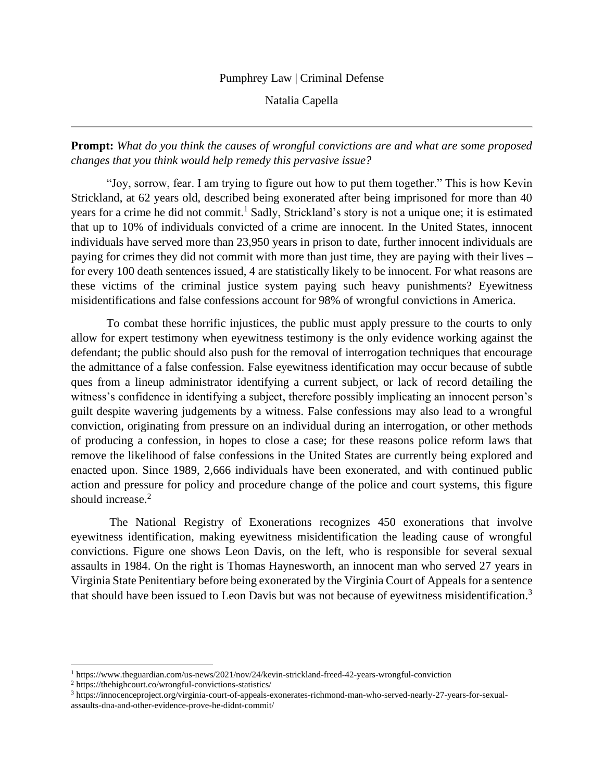## Pumphrey Law | Criminal Defense

Natalia Capella

**Prompt:** *What do you think the causes of wrongful convictions are and what are some proposed changes that you think would help remedy this pervasive issue?*

"Joy, sorrow, fear. I am trying to figure out how to put them together." This is how Kevin Strickland, at 62 years old, described being exonerated after being imprisoned for more than 40 years for a crime he did not commit.<sup>1</sup> Sadly, Strickland's story is not a unique one; it is estimated that up to 10% of individuals convicted of a crime are innocent. In the United States, innocent individuals have served more than 23,950 years in prison to date, further innocent individuals are paying for crimes they did not commit with more than just time, they are paying with their lives – for every 100 death sentences issued, 4 are statistically likely to be innocent. For what reasons are these victims of the criminal justice system paying such heavy punishments? Eyewitness misidentifications and false confessions account for 98% of wrongful convictions in America.

To combat these horrific injustices, the public must apply pressure to the courts to only allow for expert testimony when eyewitness testimony is the only evidence working against the defendant; the public should also push for the removal of interrogation techniques that encourage the admittance of a false confession. False eyewitness identification may occur because of subtle ques from a lineup administrator identifying a current subject, or lack of record detailing the witness's confidence in identifying a subject, therefore possibly implicating an innocent person's guilt despite wavering judgements by a witness. False confessions may also lead to a wrongful conviction, originating from pressure on an individual during an interrogation, or other methods of producing a confession, in hopes to close a case; for these reasons police reform laws that remove the likelihood of false confessions in the United States are currently being explored and enacted upon. Since 1989, 2,666 individuals have been exonerated, and with continued public action and pressure for policy and procedure change of the police and court systems, this figure should increase.<sup>2</sup>

The National Registry of Exonerations recognizes 450 exonerations that involve eyewitness identification, making eyewitness misidentification the leading cause of wrongful convictions. Figure one shows Leon Davis, on the left, who is responsible for several sexual assaults in 1984. On the right is Thomas Haynesworth, an innocent man who served 27 years in Virginia State Penitentiary before being exonerated by the Virginia Court of Appeals for a sentence that should have been issued to Leon Davis but was not because of eyewitness misidentification.<sup>3</sup>

<sup>1</sup> https://www.theguardian.com/us-news/2021/nov/24/kevin-strickland-freed-42-years-wrongful-conviction

<sup>2</sup> https://thehighcourt.co/wrongful-convictions-statistics/

<sup>3</sup> https://innocenceproject.org/virginia-court-of-appeals-exonerates-richmond-man-who-served-nearly-27-years-for-sexualassaults-dna-and-other-evidence-prove-he-didnt-commit/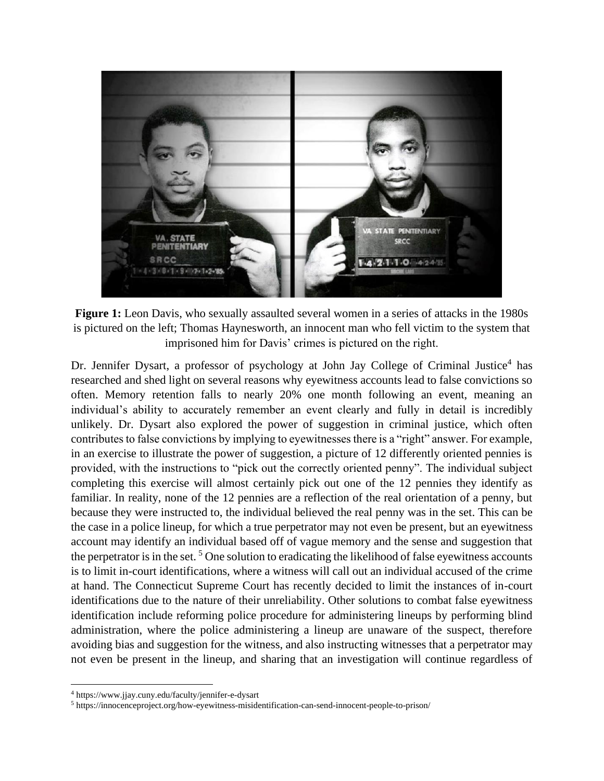

Figure 1: Leon Davis, who sexually assaulted several women in a series of attacks in the 1980s is pictured on the left; Thomas Haynesworth, an innocent man who fell victim to the system that imprisoned him for Davis' crimes is pictured on the right.

Dr. Jennifer Dysart, a professor of psychology at John Jay College of Criminal Justice<sup>4</sup> has researched and shed light on several reasons why eyewitness accounts lead to false convictions so often. Memory retention falls to nearly 20% one month following an event, meaning an individual's ability to accurately remember an event clearly and fully in detail is incredibly unlikely. Dr. Dysart also explored the power of suggestion in criminal justice, which often contributes to false convictions by implying to eyewitnesses there is a "right" answer. For example, in an exercise to illustrate the power of suggestion, a picture of 12 differently oriented pennies is provided, with the instructions to "pick out the correctly oriented penny". The individual subject completing this exercise will almost certainly pick out one of the 12 pennies they identify as familiar. In reality, none of the 12 pennies are a reflection of the real orientation of a penny, but because they were instructed to, the individual believed the real penny was in the set. This can be the case in a police lineup, for which a true perpetrator may not even be present, but an eyewitness account may identify an individual based off of vague memory and the sense and suggestion that the perpetrator is in the set.<sup>5</sup> One solution to eradicating the likelihood of false eyewitness accounts is to limit in-court identifications, where a witness will call out an individual accused of the crime at hand. The Connecticut Supreme Court has recently decided to limit the instances of in-court identifications due to the nature of their unreliability. Other solutions to combat false eyewitness identification include reforming police procedure for administering lineups by performing blind administration, where the police administering a lineup are unaware of the suspect, therefore avoiding bias and suggestion for the witness, and also instructing witnesses that a perpetrator may not even be present in the lineup, and sharing that an investigation will continue regardless of

<sup>4</sup> https://www.jjay.cuny.edu/faculty/jennifer-e-dysart

<sup>5</sup> https://innocenceproject.org/how-eyewitness-misidentification-can-send-innocent-people-to-prison/